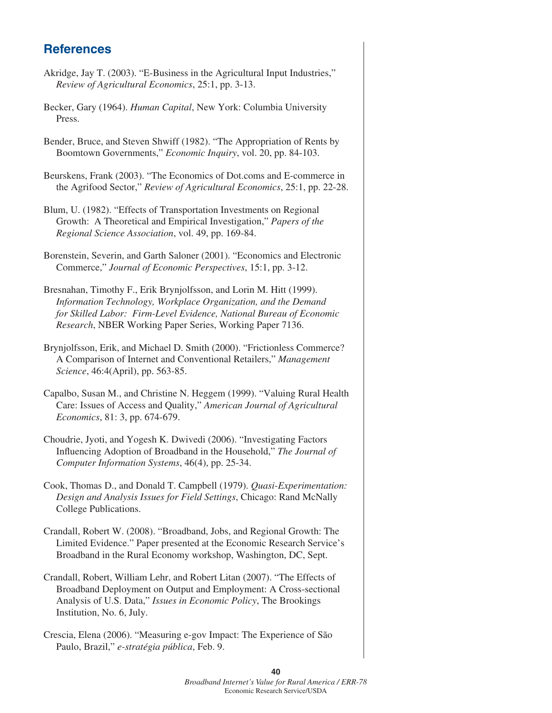## **References**

| <u>UEIEI AIINES</u>                                                                                                                                                                                                                                                      |
|--------------------------------------------------------------------------------------------------------------------------------------------------------------------------------------------------------------------------------------------------------------------------|
| Akridge, Jay T. (2003). "E-Business in the Agricultural Input Industries,"<br>Review of Agricultural Economics, 25:1, pp. 3-13.                                                                                                                                          |
| Becker, Gary (1964). Human Capital, New York: Columbia University<br>Press.                                                                                                                                                                                              |
| Bender, Bruce, and Steven Shwiff (1982). "The Appropriation of Rents by<br>Boomtown Governments," Economic Inquiry, vol. 20, pp. 84-103.                                                                                                                                 |
| Beurskens, Frank (2003). "The Economics of Dot.coms and E-commerce in<br>the Agrifood Sector," Review of Agricultural Economics, 25:1, pp. 22-28.                                                                                                                        |
| Blum, U. (1982). "Effects of Transportation Investments on Regional<br>Growth: A Theoretical and Empirical Investigation," Papers of the<br>Regional Science Association, vol. 49, pp. 169-84.                                                                           |
| Borenstein, Severin, and Garth Saloner (2001). "Economics and Electronic<br>Commerce," Journal of Economic Perspectives, 15:1, pp. 3-12.                                                                                                                                 |
| Bresnahan, Timothy F., Erik Brynjolfsson, and Lorin M. Hitt (1999).<br>Information Technology, Workplace Organization, and the Demand<br>for Skilled Labor: Firm-Level Evidence, National Bureau of Economic<br>Research, NBER Working Paper Series, Working Paper 7136. |
| Brynjolfsson, Erik, and Michael D. Smith (2000). "Frictionless Commerce?<br>A Comparison of Internet and Conventional Retailers," Management<br>Science, 46:4(April), pp. 563-85.                                                                                        |
| Capalbo, Susan M., and Christine N. Heggem (1999). "Valuing Rural Health<br>Care: Issues of Access and Quality," American Journal of Agricultural<br>Economics, 81: 3, pp. 674-679.                                                                                      |
| Choudrie, Jyoti, and Yogesh K. Dwivedi (2006). "Investigating Factors<br>Influencing Adoption of Broadband in the Household," The Journal of<br>Computer Information Systems, 46(4), pp. 25-34.                                                                          |
| Cook, Thomas D., and Donald T. Campbell (1979). Quasi-Experimentation:<br>Design and Analysis Issues for Field Settings, Chicago: Rand McNally<br>College Publications.                                                                                                  |
| Crandall, Robert W. (2008). "Broadband, Jobs, and Regional Growth: The<br>Limited Evidence." Paper presented at the Economic Research Service's<br>Broadband in the Rural Economy workshop, Washington, DC, Sept.                                                        |
| Crandall, Robert, William Lehr, and Robert Litan (2007). "The Effects of                                                                                                                                                                                                 |

Broadband Deployment on Output and Employment: A Cross-sectional Analysis of U.S. Data," *Issues in Economic Policy*, The Brookings Institution, No. 6, July.

Crescia, Elena (2006). "Measuring e-gov Impact: The Experience of São Paulo, Brazil," *e-stratégia pública*, Feb. 9.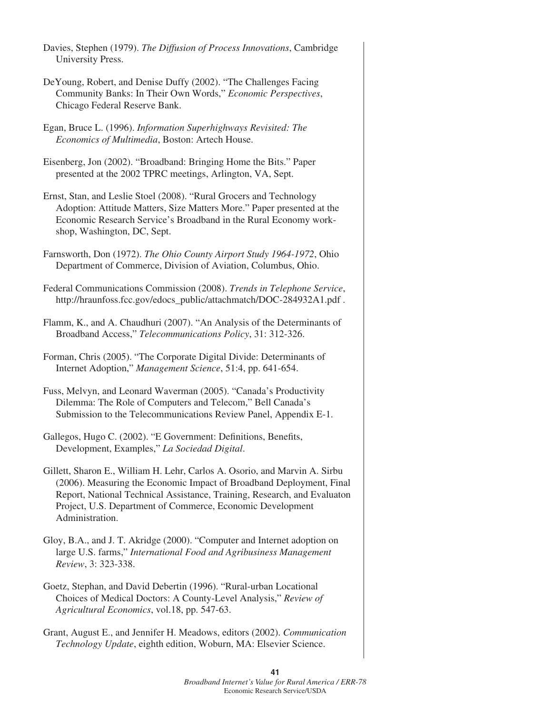| Davies, Stephen (1979). The Diffusion of Process Innovations, Cambridge<br>University Press.                                                                                                                                                                                                                    |
|-----------------------------------------------------------------------------------------------------------------------------------------------------------------------------------------------------------------------------------------------------------------------------------------------------------------|
| De Young, Robert, and Denise Duffy (2002). "The Challenges Facing<br>Community Banks: In Their Own Words," Economic Perspectives,<br>Chicago Federal Reserve Bank.                                                                                                                                              |
| Egan, Bruce L. (1996). Information Superhighways Revisited: The<br>Economics of Multimedia, Boston: Artech House.                                                                                                                                                                                               |
| Eisenberg, Jon (2002). "Broadband: Bringing Home the Bits." Paper<br>presented at the 2002 TPRC meetings, Arlington, VA, Sept.                                                                                                                                                                                  |
| Ernst, Stan, and Leslie Stoel (2008). "Rural Grocers and Technology<br>Adoption: Attitude Matters, Size Matters More." Paper presented at the<br>Economic Research Service's Broadband in the Rural Economy work-<br>shop, Washington, DC, Sept.                                                                |
| Farnsworth, Don (1972). The Ohio County Airport Study 1964-1972, Ohio<br>Department of Commerce, Division of Aviation, Columbus, Ohio.                                                                                                                                                                          |
| Federal Communications Commission (2008). Trends in Telephone Service,<br>http://hraunfoss.fcc.gov/edocs_public/attachmatch/DOC-284932A1.pdf.                                                                                                                                                                   |
| Flamm, K., and A. Chaudhuri (2007). "An Analysis of the Determinants of<br>Broadband Access," Telecommunications Policy, 31: 312-326.                                                                                                                                                                           |
| Forman, Chris (2005). "The Corporate Digital Divide: Determinants of<br>Internet Adoption," Management Science, 51:4, pp. 641-654.                                                                                                                                                                              |
| Fuss, Melvyn, and Leonard Waverman (2005). "Canada's Productivity<br>Dilemma: The Role of Computers and Telecom," Bell Canada's<br>Submission to the Telecommunications Review Panel, Appendix E-1.                                                                                                             |
| Gallegos, Hugo C. (2002). "E Government: Definitions, Benefits,<br>Development, Examples," La Sociedad Digital.                                                                                                                                                                                                 |
| Gillett, Sharon E., William H. Lehr, Carlos A. Osorio, and Marvin A. Sirbu<br>(2006). Measuring the Economic Impact of Broadband Deployment, Final<br>Report, National Technical Assistance, Training, Research, and Evaluaton<br>Project, U.S. Department of Commerce, Economic Development<br>Administration. |
| Gloy, B.A., and J. T. Akridge (2000). "Computer and Internet adoption on<br>large U.S. farms," International Food and Agribusiness Management<br>Review, 3: 323-338.                                                                                                                                            |
| Goetz, Stephan, and David Debertin (1996). "Rural-urban Locational<br>Choices of Medical Doctors: A County-Level Analysis," Review of<br>Agricultural Economics, vol.18, pp. 547-63.                                                                                                                            |
| Grant, August E., and Jennifer H. Meadows, editors (2002). Communication                                                                                                                                                                                                                                        |

*Technology Update*, eighth edition, Woburn, MA: Elsevier Science.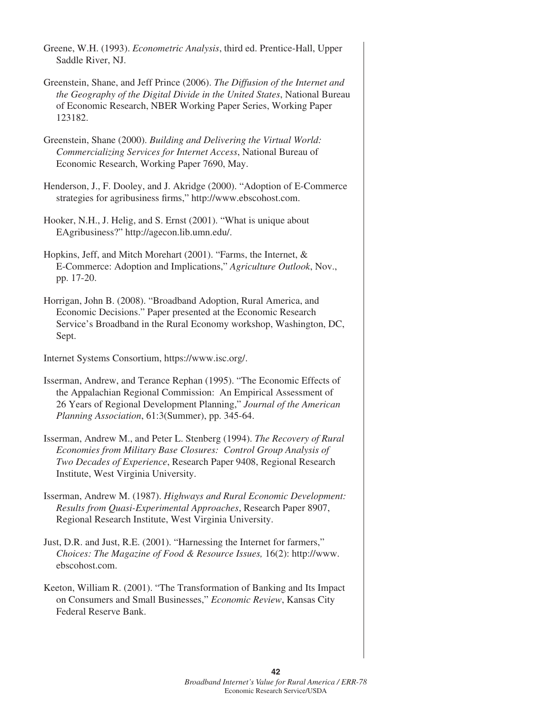| Greene, W.H. (1993). <i>Econometric Analysis</i> , third ed. Prentice-Hall, Upper<br>Saddle River, NJ.                                                                                                                                                             |
|--------------------------------------------------------------------------------------------------------------------------------------------------------------------------------------------------------------------------------------------------------------------|
| Greenstein, Shane, and Jeff Prince (2006). The Diffusion of the Internet and<br>the Geography of the Digital Divide in the United States, National Bureau<br>of Economic Research, NBER Working Paper Series, Working Paper<br>123182.                             |
| Greenstein, Shane (2000). Building and Delivering the Virtual World:<br>Commercializing Services for Internet Access, National Bureau of<br>Economic Research, Working Paper 7690, May.                                                                            |
| Henderson, J., F. Dooley, and J. Akridge (2000). "Adoption of E-Commerce<br>strategies for agribusiness firms," http://www.ebscohost.com.                                                                                                                          |
| Hooker, N.H., J. Helig, and S. Ernst (2001). "What is unique about<br>EAgribusiness?" http://agecon.lib.umn.edu/.                                                                                                                                                  |
| Hopkins, Jeff, and Mitch Morehart (2001). "Farms, the Internet, &<br>E-Commerce: Adoption and Implications," Agriculture Outlook, Nov.,<br>pp. 17-20.                                                                                                              |
| Horrigan, John B. (2008). "Broadband Adoption, Rural America, and<br>Economic Decisions." Paper presented at the Economic Research<br>Service's Broadband in the Rural Economy workshop, Washington, DC,<br>Sept.                                                  |
| Internet Systems Consortium, https://www.isc.org/.                                                                                                                                                                                                                 |
| Isserman, Andrew, and Terance Rephan (1995). "The Economic Effects of<br>the Appalachian Regional Commission: An Empirical Assessment of<br>26 Years of Regional Development Planning," Journal of the American<br>Planning Association, 61:3(Summer), pp. 345-64. |
| Isserman, Andrew M., and Peter L. Stenberg (1994). The Recovery of Rural<br>Economies from Military Base Closures: Control Group Analysis of<br>Two Decades of Experience, Research Paper 9408, Regional Research<br>Institute, West Virginia University.          |
| Isserman, Andrew M. (1987). Highways and Rural Economic Development:<br>Results from Quasi-Experimental Approaches, Research Paper 8907,<br>Regional Research Institute, West Virginia University.                                                                 |
| Just, D.R. and Just, R.E. (2001). "Harnessing the Internet for farmers,"<br>Choices: The Magazine of Food & Resource Issues, 16(2): http://www.<br>ebscohost.com.                                                                                                  |

Keeton, William R. (2001). "The Transformation of Banking and Its Impact on Consumers and Small Businesses," *Economic Review*, Kansas City Federal Reserve Bank.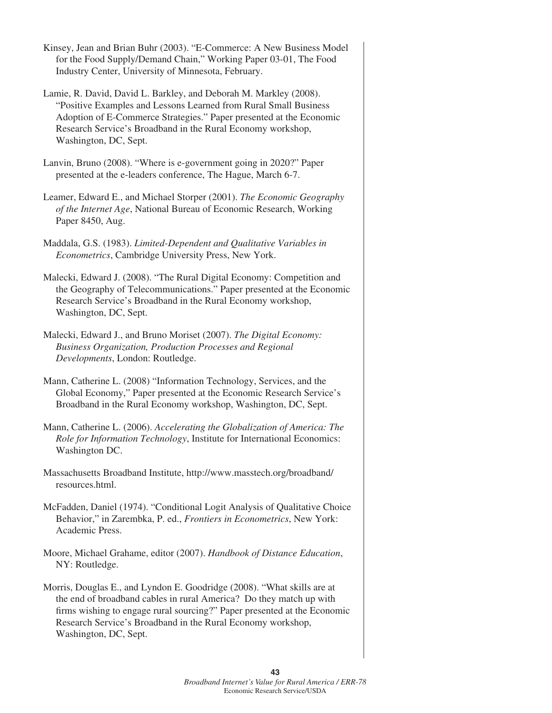Kinsey, Jean and Brian Buhr (2003). "E-Commerce: A New Business Model for the Food Supply/Demand Chain," Working Paper 03-01, The Food Industry Center, University of Minnesota, February.

- Lamie, R. David, David L. Barkley, and Deborah M. Markley (2008). "Positive Examples and Lessons Learned from Rural Small Business Adoption of E-Commerce Strategies." Paper presented at the Economic Research Service's Broadband in the Rural Economy workshop, Washington, DC, Sept.
- Lanvin, Bruno (2008). "Where is e-government going in 2020?" Paper presented at the e-leaders conference, The Hague, March 6-7.
- Leamer, Edward E., and Michael Storper (2001). *The Economic Geography of the Internet Age*, National Bureau of Economic Research, Working Paper 8450, Aug.
- Maddala, G.S. (1983). *Limited-Dependent and Qualitative Variables in Econometrics*, Cambridge University Press, New York.
- Malecki, Edward J. (2008). "The Rural Digital Economy: Competition and the Geography of Telecommunications." Paper presented at the Economic Research Service's Broadband in the Rural Economy workshop, Washington, DC, Sept.
- Malecki, Edward J., and Bruno Moriset (2007). *The Digital Economy: Business Organization, Production Processes and Regional Developments*, London: Routledge.
- Mann, Catherine L. (2008) "Information Technology, Services, and the Global Economy," Paper presented at the Economic Research Service's Broadband in the Rural Economy workshop, Washington, DC, Sept.
- Mann, Catherine L. (2006). *Accelerating the Globalization of America: The Role for Information Technology*, Institute for International Economics: Washington DC.
- Massachusetts Broadband Institute, http://www.masstech.org/broadband/ resources.html.
- McFadden, Daniel (1974). "Conditional Logit Analysis of Qualitative Choice Behavior," in Zarembka, P. ed., *Frontiers in Econometrics*, New York: Academic Press.
- Moore, Michael Grahame, editor (2007). *Handbook of Distance Education*, NY: Routledge.
- Morris, Douglas E., and Lyndon E. Goodridge (2008). "What skills are at the end of broadband cables in rural America? Do they match up with firms wishing to engage rural sourcing?" Paper presented at the Economic Research Service's Broadband in the Rural Economy workshop, Washington, DC, Sept.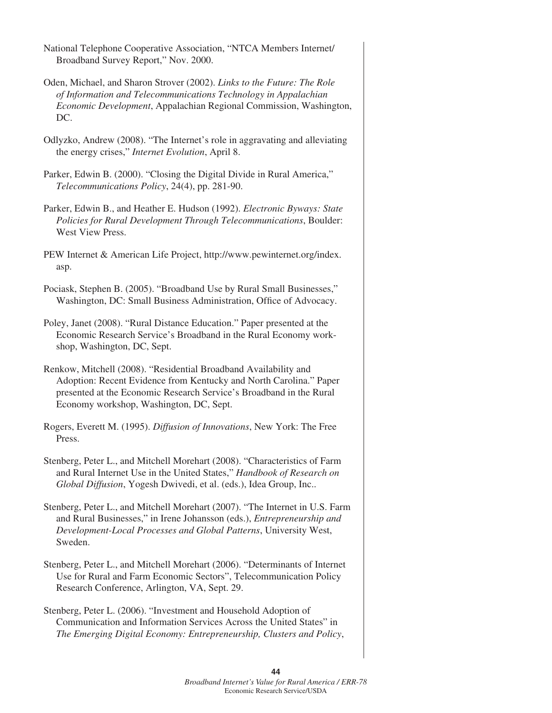- National Telephone Cooperative Association, "NTCA Members Internet/ Broadband Survey Report," Nov. 2000.
- Oden, Michael, and Sharon Strover (2002). *Links to the Future: The Role of Information and Telecommunications Technology in Appalachian Economic Development*, Appalachian Regional Commission, Washington, DC.
- Odlyzko, Andrew (2008). "The Internet's role in aggravating and alleviating the energy crises," *Internet Evolution*, April 8.
- Parker, Edwin B. (2000). "Closing the Digital Divide in Rural America," *Telecommunications Policy*, 24(4), pp. 281-90.
- Parker, Edwin B., and Heather E. Hudson (1992). *Electronic Byways: State Policies for Rural Development Through Telecommunications*, Boulder: West View Press.
- PEW Internet & American Life Project, http://www.pewinternet.org/index. asp.
- Pociask, Stephen B. (2005). "Broadband Use by Rural Small Businesses," Washington, DC: Small Business Administration, Office of Advocacy.
- Poley, Janet (2008). "Rural Distance Education." Paper presented at the Economic Research Service's Broadband in the Rural Economy workshop, Washington, DC, Sept.
- Renkow, Mitchell (2008). "Residential Broadband Availability and Adoption: Recent Evidence from Kentucky and North Carolina." Paper presented at the Economic Research Service's Broadband in the Rural Economy workshop, Washington, DC, Sept.
- Rogers, Everett M. (1995). *Diffusion of Innovations*, New York: The Free Press.
- Stenberg, Peter L., and Mitchell Morehart (2008). "Characteristics of Farm and Rural Internet Use in the United States," *Handbook of Research on Global Diffusion*, Yogesh Dwivedi, et al. (eds.), Idea Group, Inc..
- Stenberg, Peter L., and Mitchell Morehart (2007). "The Internet in U.S. Farm and Rural Businesses," in Irene Johansson (eds.), *Entrepreneurship and Development-Local Processes and Global Patterns*, University West, Sweden.
- Stenberg, Peter L., and Mitchell Morehart (2006). "Determinants of Internet Use for Rural and Farm Economic Sectors", Telecommunication Policy Research Conference, Arlington, VA, Sept. 29.
- Stenberg, Peter L. (2006). "Investment and Household Adoption of Communication and Information Services Across the United States" in *The Emerging Digital Economy: Entrepreneurship, Clusters and Policy*,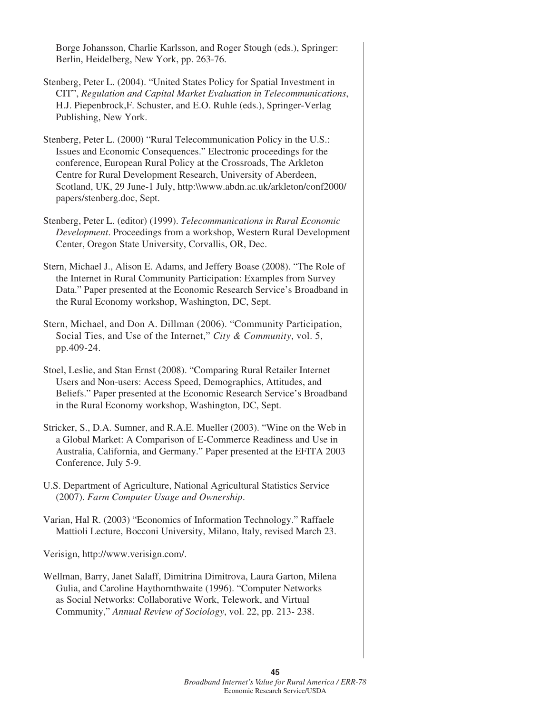Borge Johansson, Charlie Karlsson, and Roger Stough (eds.), Springer: Berlin, Heidelberg, New York, pp. 263-76.

- Stenberg, Peter L. (2004). "United States Policy for Spatial Investment in CIT", *Regulation and Capital Market Evaluation in Telecommunications*, H.J. Piepenbrock,F. Schuster, and E.O. Ruhle (eds.), Springer-Verlag Publishing, New York.
- Stenberg, Peter L. (2000) "Rural Telecommunication Policy in the U.S.: Issues and Economic Consequences." Electronic proceedings for the conference, European Rural Policy at the Crossroads, The Arkleton Centre for Rural Development Research, University of Aberdeen, Scotland, UK, 29 June-1 July, http:\\www.abdn.ac.uk/arkleton/conf2000/ papers/stenberg.doc, Sept.
- Stenberg, Peter L. (editor) (1999). *Telecommunications in Rural Economic Development*. Proceedings from a workshop, Western Rural Development Center, Oregon State University, Corvallis, OR, Dec.
- Stern, Michael J., Alison E. Adams, and Jeffery Boase (2008). "The Role of the Internet in Rural Community Participation: Examples from Survey Data." Paper presented at the Economic Research Service's Broadband in the Rural Economy workshop, Washington, DC, Sept.
- Stern, Michael, and Don A. Dillman (2006). "Community Participation, Social Ties, and Use of the Internet," *City & Community*, vol. 5, pp.409-24.
- Stoel, Leslie, and Stan Ernst (2008). "Comparing Rural Retailer Internet Users and Non-users: Access Speed, Demographics, Attitudes, and Beliefs." Paper presented at the Economic Research Service's Broadband in the Rural Economy workshop, Washington, DC, Sept.
- Stricker, S., D.A. Sumner, and R.A.E. Mueller (2003). "Wine on the Web in a Global Market: A Comparison of E-Commerce Readiness and Use in Australia, California, and Germany." Paper presented at the EFITA 2003 Conference, July 5-9.
- U.S. Department of Agriculture, National Agricultural Statistics Service (2007). *Farm Computer Usage and Ownership*.
- Varian, Hal R. (2003) "Economics of Information Technology." Raffaele Mattioli Lecture, Bocconi University, Milano, Italy, revised March 23.

Verisign, http://www.verisign.com/.

Wellman, Barry, Janet Salaff, Dimitrina Dimitrova, Laura Garton, Milena Gulia, and Caroline Haythornthwaite (1996). "Computer Networks as Social Networks: Collaborative Work, Telework, and Virtual Community," *Annual Review of Sociology*, vol. 22, pp. 213- 238.